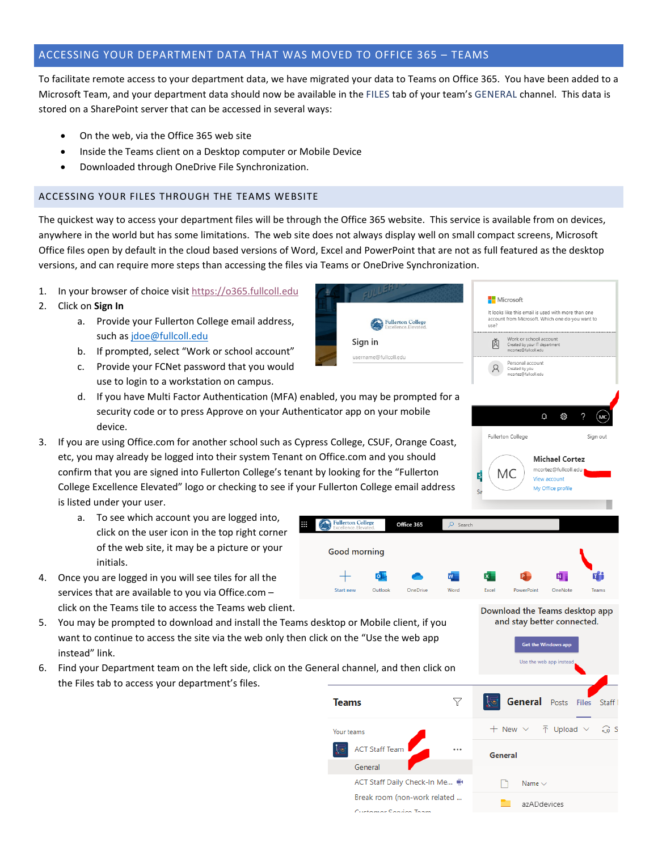## ACCESSING YOUR DEPARTMENT DATA THAT WAS MOVED TO OFFICE 365 – TEAMS

To facilitate remote access to your department data, we have migrated your data to Teams on Office 365. You have been added to a Microsoft Team, and your department data should now be available in the FILES tab of your team's GENERAL channel. This data is stored on a SharePoint server that can be accessed in several ways:

- On the web, via the Office 365 web site
- Inside the Teams client on a Desktop computer or Mobile Device
- Downloaded through OneDrive File Synchronization.

## ACCESSING YOUR FILES THROUGH THE TEAMS WEBSITE

The quickest way to access your department files will be through the Office 365 website. This service is available from on devices, anywhere in the world but has some limitations. The web site does not always display well on small compact screens, Microsoft Office files open by default in the cloud based versions of Word, Excel and PowerPoint that are not as full featured as the desktop versions, and can require more steps than accessing the files via Teams or OneDrive Synchronization.

Fullerton College

- 1. In your browser of choice visit [https://o365.fullcoll.edu](https://o365.fullcoll.edu/)
- 2. Click on **Sign In**
	- a. Provide your Fullerton College email address, such as [jdoe@fullcoll.edu](mailto:jdoe@fullcoll.edu)
	- b. If prompted, select "Work or school account"
	- c. Provide your FCNet password that you would use to login to a workstation on campus.
	- d. If you have Multi Factor Authentication (MFA) enabled, you may be prompted for a security code or to press Approve on your Authenticator app on your mobile device.
- 3. If you are using Office.com for another school such as Cypress College, CSUF, Orange Coast, etc, you may already be logged into their system Tenant on Office.com and you should confirm that you are signed into Fullerton College's tenant by looking for the "Fullerton College Excellence Elevated" logo or checking to see if your Fullerton College email address is listed under your user.
	- a. To see which account you are logged into, click on the user icon in the top right corner of the web site, it may be a picture or your initials.
- 4. Once you are logged in you will see tiles for all the services that are available to you via Office.com – click on the Teams tile to access the Teams web client.
- 5. You may be prompted to download and install the Teams desktop or Mobile client, if you want to continue to access the site via the web only then click on the "Use the web app instead" link.
- 6. Find your Department team on the left side, click on the General channel, and then click on the Files tab to access your department's files.



Microsoft

 $1100<sup>2</sup>$ 

It looks like this email is used with more than one account from Microsoft. Which one do you want to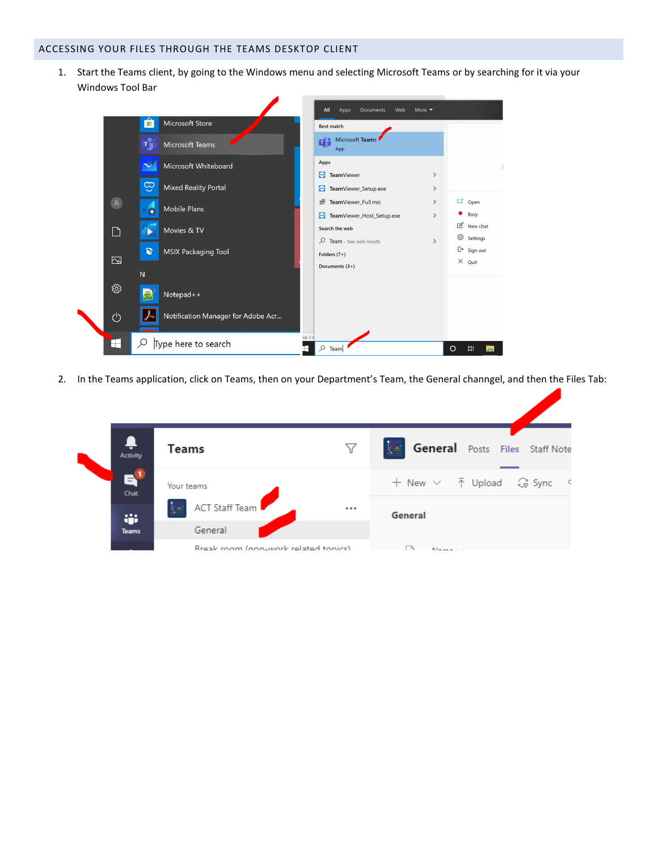## ACCESSING YOUR FILES THROUGH THE TEAMS DESKTOP CLIENT

I

1. Start the Teams client, by going to the Windows menu and selecting Microsoft Teams or by searching for it via your Windows Tool Bar



2. In the Teams application, click on Teams, then on your Department's Team, the General channgel, and then the Files Tab:

| Activity     | <b>Teams</b>                         | Y | <u>is</u> i<br>General Posts Files Staff Note |  |
|--------------|--------------------------------------|---|-----------------------------------------------|--|
| EV<br>Chat   | Your teams                           |   | + New ∨ ↑ Upload G Sync <                     |  |
| ŵ.           | ACT Staff Team                       |   | General                                       |  |
| <b>Teams</b> | General                              |   |                                               |  |
|              | Break room (non-work related topics) |   | N <sub>L</sub>                                |  |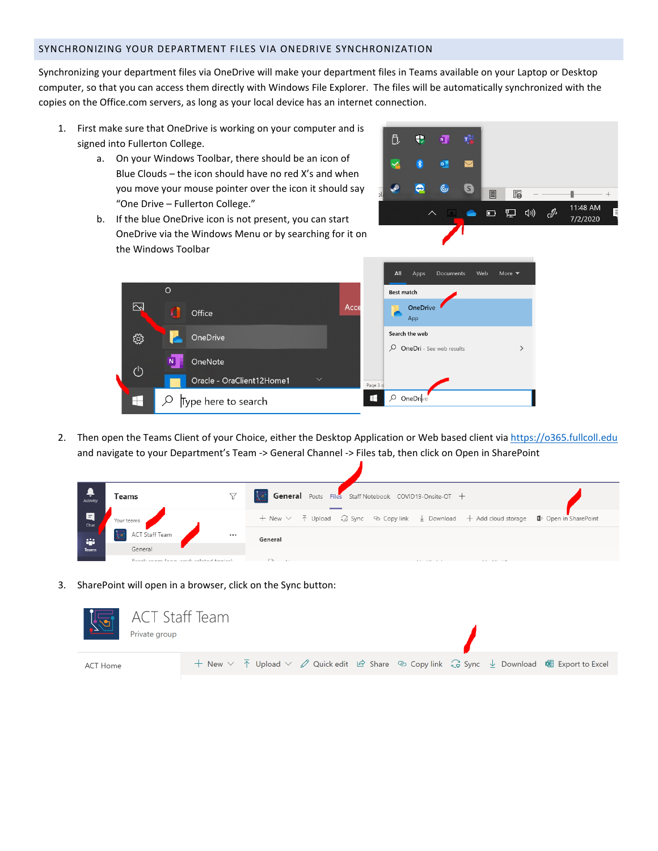## SYNCHRONIZING YOUR DEPARTMENT FILES VIA ONEDRIVE SYNCHRONIZATION

Synchronizing your department files via OneDrive will make your department files in Teams available on your Laptop or Desktop computer, so that you can access them directly with Windows File Explorer. The files will be automatically synchronized with the copies on the Office.com servers, as long as your local device has an internet connection.

- 1. First make sure that OneDrive is working on your computer and is signed into Fullerton College.
	- a. On your Windows Toolbar, there should be an icon of Blue Clouds – the icon should have no red X's and when you move your mouse pointer over the icon it should say "One Drive – Fullerton College."
	- b. If the blue OneDrive icon is not present, you can start OneDrive via the Windows Menu or by searching for it on the Windows Toolbar





2. Then open the Teams Client of your Choice, either the Desktop Application or Web based client vi[a https://o365.fullcoll.edu](https://o365.fullcoll.edu/) and navigate to your Department's Team -> General Channel -> Files tab, then click on Open in SharePoint

| Activity       | Teams                                 | General Posts Files Staff Notebook COVID19-Onsite-OT +                                                                                                        |
|----------------|---------------------------------------|---------------------------------------------------------------------------------------------------------------------------------------------------------------|
| 日<br>Chat      | Your teams                            | + New $\vee$ $\bar{\uparrow}$ Upload $\hat{\downarrow}$ Sync $\otimes$ Copy link $\frac{1}{2}$ Download + Add cloud storage $\blacksquare$ Dpen in SharePoint |
| <b>Algebra</b> | ACT Staff Team<br>                    | General                                                                                                                                                       |
| Teams          | General                               |                                                                                                                                                               |
|                | Brook and the second related to the V | $\overline{\phantom{a}}$                                                                                                                                      |

3. SharePoint will open in a browser, click on the Sync button:

| ACT Staff Team<br>Private group |                                                                                                                                                                                                                      |  |
|---------------------------------|----------------------------------------------------------------------------------------------------------------------------------------------------------------------------------------------------------------------|--|
| ACT Home                        | + New $\vee$ $\bar{\uparrow}$ Upload $\vee$ $\varnothing$ Quick edit $\bar{\varnothing}$ Share $\bar{\heartsuit}$ Copy link $\bar{\varsigma}$ Sync $\bar{\downarrow}$ Download $\bar{\mathfrak{su}}$ Export to Excel |  |